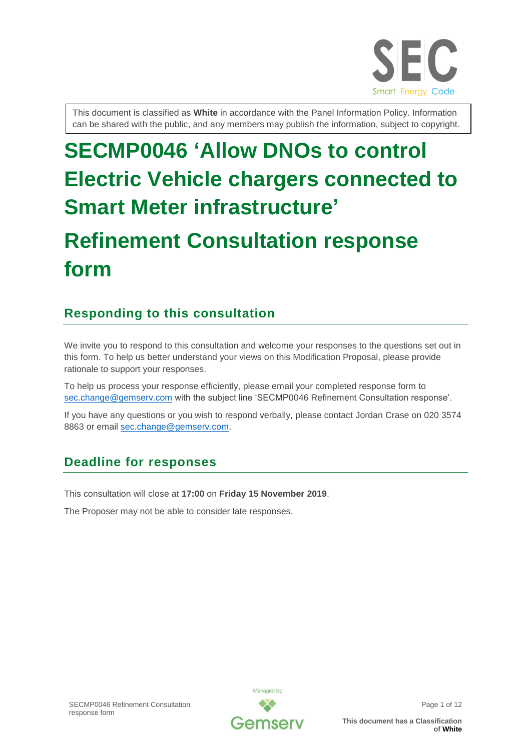

This document is classified as **White** in accordance with the Panel Information Policy. Information can be shared with the public, and any members may publish the information, subject to copyright.

# **SECMP0046 'Allow DNOs to control Electric Vehicle chargers connected to Smart Meter infrastructure'**

# **Refinement Consultation response form**

# **Responding to this consultation**

We invite you to respond to this consultation and welcome your responses to the questions set out in this form. To help us better understand your views on this Modification Proposal, please provide rationale to support your responses.

To help us process your response efficiently, please email your completed response form to [sec.change@gemserv.com](mailto:sec.change@gemserv.com) with the subject line 'SECMP0046 Refinement Consultation response'.

If you have any questions or you wish to respond verbally, please contact Jordan Crase on 020 3574 8863 or email [sec.change@gemserv.com.](mailto:sec.change@gemserv.com)

# **Deadline for responses**

This consultation will close at **17:00** on **Friday 15 November 2019**.

The Proposer may not be able to consider late responses.

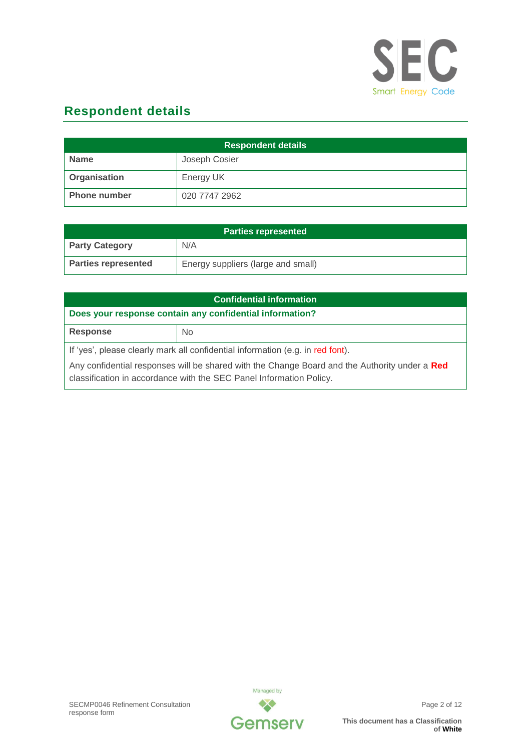

# **Respondent details**

| <b>Respondent details</b> |               |
|---------------------------|---------------|
| <b>Name</b>               | Joseph Cosier |
| Organisation              | Energy UK     |
| <b>Phone number</b>       | 020 7747 2962 |

| <b>Parties represented</b> |                                    |
|----------------------------|------------------------------------|
| <b>Party Category</b>      | N/A                                |
| <b>Parties represented</b> | Energy suppliers (large and small) |

| <b>Confidential information</b>                                                                                                                                      |           |  |
|----------------------------------------------------------------------------------------------------------------------------------------------------------------------|-----------|--|
| Does your response contain any confidential information?                                                                                                             |           |  |
| <b>Response</b>                                                                                                                                                      | <b>No</b> |  |
| If 'yes', please clearly mark all confidential information (e.g. in red font).                                                                                       |           |  |
| Any confidential responses will be shared with the Change Board and the Authority under a Red<br>classification in accordance with the SEC Panel Information Policy. |           |  |

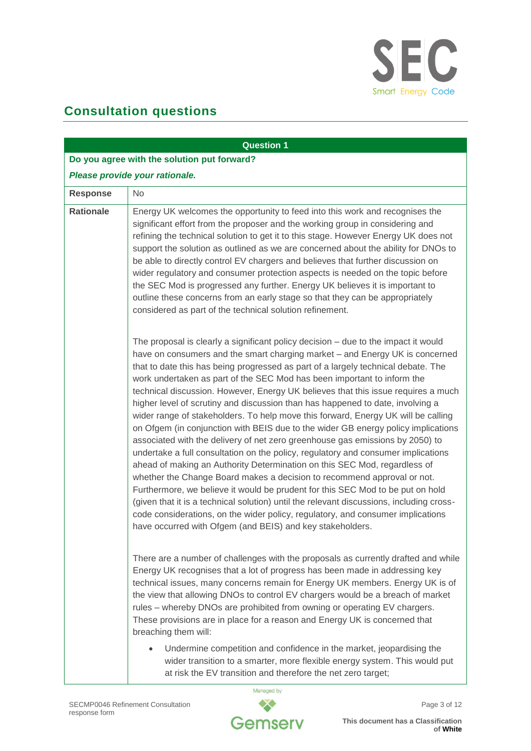

# **Consultation questions**

|                  | <b>Question 1</b>                                                                                                                                                                                                                                                                                                                                                                                                                                                                                                                                                                                                                                                                                                                                                                                                                                                                                                                                                                                                                                                                                                                                                                                                                                                                                                                               |
|------------------|-------------------------------------------------------------------------------------------------------------------------------------------------------------------------------------------------------------------------------------------------------------------------------------------------------------------------------------------------------------------------------------------------------------------------------------------------------------------------------------------------------------------------------------------------------------------------------------------------------------------------------------------------------------------------------------------------------------------------------------------------------------------------------------------------------------------------------------------------------------------------------------------------------------------------------------------------------------------------------------------------------------------------------------------------------------------------------------------------------------------------------------------------------------------------------------------------------------------------------------------------------------------------------------------------------------------------------------------------|
|                  | Do you agree with the solution put forward?                                                                                                                                                                                                                                                                                                                                                                                                                                                                                                                                                                                                                                                                                                                                                                                                                                                                                                                                                                                                                                                                                                                                                                                                                                                                                                     |
|                  | Please provide your rationale.                                                                                                                                                                                                                                                                                                                                                                                                                                                                                                                                                                                                                                                                                                                                                                                                                                                                                                                                                                                                                                                                                                                                                                                                                                                                                                                  |
| <b>Response</b>  | No                                                                                                                                                                                                                                                                                                                                                                                                                                                                                                                                                                                                                                                                                                                                                                                                                                                                                                                                                                                                                                                                                                                                                                                                                                                                                                                                              |
| <b>Rationale</b> | Energy UK welcomes the opportunity to feed into this work and recognises the<br>significant effort from the proposer and the working group in considering and<br>refining the technical solution to get it to this stage. However Energy UK does not<br>support the solution as outlined as we are concerned about the ability for DNOs to<br>be able to directly control EV chargers and believes that further discussion on<br>wider regulatory and consumer protection aspects is needed on the topic before<br>the SEC Mod is progressed any further. Energy UK believes it is important to<br>outline these concerns from an early stage so that they can be appropriately<br>considered as part of the technical solution refinement.                                                                                                                                                                                                                                                                                                                                                                                                                                                                                                                                                                                                     |
|                  | The proposal is clearly a significant policy decision – due to the impact it would<br>have on consumers and the smart charging market - and Energy UK is concerned<br>that to date this has being progressed as part of a largely technical debate. The<br>work undertaken as part of the SEC Mod has been important to inform the<br>technical discussion. However, Energy UK believes that this issue requires a much<br>higher level of scrutiny and discussion than has happened to date, involving a<br>wider range of stakeholders. To help move this forward, Energy UK will be calling<br>on Ofgem (in conjunction with BEIS due to the wider GB energy policy implications<br>associated with the delivery of net zero greenhouse gas emissions by 2050) to<br>undertake a full consultation on the policy, regulatory and consumer implications<br>ahead of making an Authority Determination on this SEC Mod, regardless of<br>whether the Change Board makes a decision to recommend approval or not.<br>Furthermore, we believe it would be prudent for this SEC Mod to be put on hold<br>(given that it is a technical solution) until the relevant discussions, including cross-<br>code considerations, on the wider policy, regulatory, and consumer implications<br>have occurred with Ofgem (and BEIS) and key stakeholders. |
|                  | There are a number of challenges with the proposals as currently drafted and while<br>Energy UK recognises that a lot of progress has been made in addressing key<br>technical issues, many concerns remain for Energy UK members. Energy UK is of<br>the view that allowing DNOs to control EV chargers would be a breach of market<br>rules - whereby DNOs are prohibited from owning or operating EV chargers.<br>These provisions are in place for a reason and Energy UK is concerned that<br>breaching them will:<br>Undermine competition and confidence in the market, jeopardising the                                                                                                                                                                                                                                                                                                                                                                                                                                                                                                                                                                                                                                                                                                                                                 |
|                  | wider transition to a smarter, more flexible energy system. This would put<br>at risk the EV transition and therefore the net zero target;                                                                                                                                                                                                                                                                                                                                                                                                                                                                                                                                                                                                                                                                                                                                                                                                                                                                                                                                                                                                                                                                                                                                                                                                      |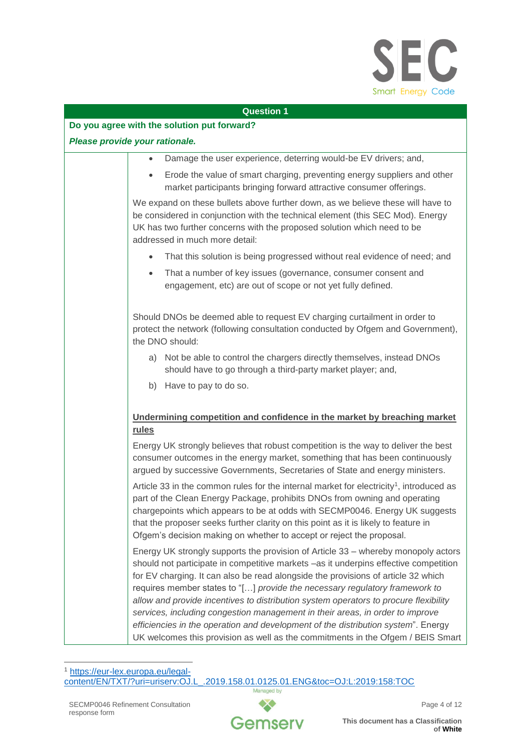

#### **Do you agree with the solution put forward?**

#### *Please provide your rationale.*

- Damage the user experience, deterring would-be EV drivers; and,
- Erode the value of smart charging, preventing energy suppliers and other market participants bringing forward attractive consumer offerings.

We expand on these bullets above further down, as we believe these will have to be considered in conjunction with the technical element (this SEC Mod). Energy UK has two further concerns with the proposed solution which need to be addressed in much more detail:

- That this solution is being progressed without real evidence of need; and
- That a number of key issues (governance, consumer consent and engagement, etc) are out of scope or not yet fully defined.

Should DNOs be deemed able to request EV charging curtailment in order to protect the network (following consultation conducted by Ofgem and Government), the DNO should:

- a) Not be able to control the chargers directly themselves, instead DNOs should have to go through a third-party market player; and,
- b) Have to pay to do so.

# **Undermining competition and confidence in the market by breaching market rules**

Energy UK strongly believes that robust competition is the way to deliver the best consumer outcomes in the energy market, something that has been continuously argued by successive Governments, Secretaries of State and energy ministers.

Article 33 in the common rules for the internal market for electricity<sup>1</sup>, introduced as part of the Clean Energy Package, prohibits DNOs from owning and operating chargepoints which appears to be at odds with SECMP0046. Energy UK suggests that the proposer seeks further clarity on this point as it is likely to feature in Ofgem's decision making on whether to accept or reject the proposal.

Energy UK strongly supports the provision of Article 33 – whereby monopoly actors should not participate in competitive markets –as it underpins effective competition for EV charging. It can also be read alongside the provisions of article 32 which requires member states to "[…] *provide the necessary regulatory framework to allow and provide incentives to distribution system operators to procure flexibility services, including congestion management in their areas, in order to improve efficiencies in the operation and development of the distribution system*". Energy UK welcomes this provision as well as the commitments in the Ofgem / BEIS Smart

1 https://eur-lex.europa.eu/legal-<br>content/EN/TXT/?uri=uriserv:OJ.L [content/EN/TXT/?uri=uriserv:OJ.L\\_.2019.158.01.0125.01.ENG&toc=OJ:L:2019:158:TOC](https://eur-lex.europa.eu/legal-content/EN/TXT/?uri=uriserv:OJ.L_.2019.158.01.0125.01.ENG&toc=OJ:L:2019:158:TOC)Managed by

 $\overline{a}$ 

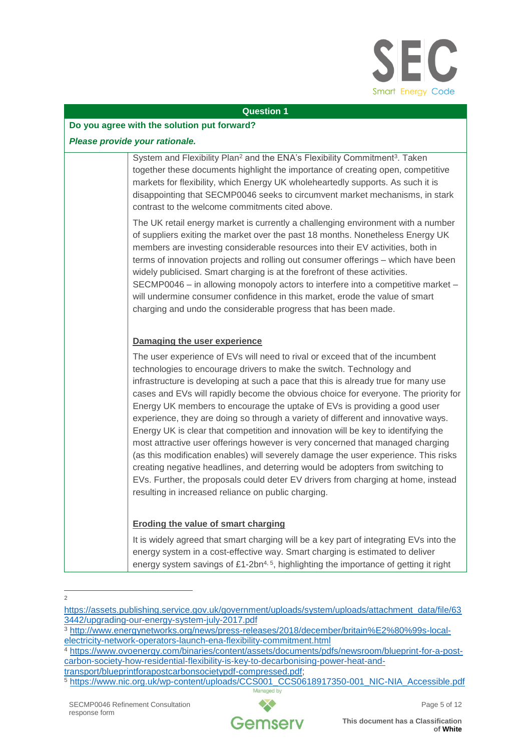

#### **Do you agree with the solution put forward?**

#### *Please provide your rationale.*

System and Flexibility Plan<sup>2</sup> and the ENA's Flexibility Commitment<sup>3</sup>. Taken together these documents highlight the importance of creating open, competitive markets for flexibility, which Energy UK wholeheartedly supports. As such it is disappointing that SECMP0046 seeks to circumvent market mechanisms, in stark contrast to the welcome commitments cited above.

The UK retail energy market is currently a challenging environment with a number of suppliers exiting the market over the past 18 months. Nonetheless Energy UK members are investing considerable resources into their EV activities, both in terms of innovation projects and rolling out consumer offerings – which have been widely publicised. Smart charging is at the forefront of these activities. SECMP0046 – in allowing monopoly actors to interfere into a competitive market – will undermine consumer confidence in this market, erode the value of smart charging and undo the considerable progress that has been made.

# **Damaging the user experience**

The user experience of EVs will need to rival or exceed that of the incumbent technologies to encourage drivers to make the switch. Technology and infrastructure is developing at such a pace that this is already true for many use cases and EVs will rapidly become the obvious choice for everyone. The priority for Energy UK members to encourage the uptake of EVs is providing a good user experience, they are doing so through a variety of different and innovative ways. Energy UK is clear that competition and innovation will be key to identifying the most attractive user offerings however is very concerned that managed charging (as this modification enables) will severely damage the user experience. This risks creating negative headlines, and deterring would be adopters from switching to EVs. Further, the proposals could deter EV drivers from charging at home, instead resulting in increased reliance on public charging.

## **Eroding the value of smart charging**

It is widely agreed that smart charging will be a key part of integrating EVs into the energy system in a cost-effective way. Smart charging is estimated to deliver energy system savings of  $£1$ -2bn<sup>4, 5</sup>, highlighting the importance of getting it right

- $\Omega$ 

<sup>4</sup> [https://www.ovoenergy.com/binaries/content/assets/documents/pdfs/newsroom/blueprint-for-a-post](https://www.ovoenergy.com/binaries/content/assets/documents/pdfs/newsroom/blueprint-for-a-post-carbon-society-how-residential-flexibility-is-key-to-decarbonising-power-heat-and-transport/blueprintforapostcarbonsocietypdf-compressed.pdf)[carbon-society-how-residential-flexibility-is-key-to-decarbonising-power-heat-and-](https://www.ovoenergy.com/binaries/content/assets/documents/pdfs/newsroom/blueprint-for-a-post-carbon-society-how-residential-flexibility-is-key-to-decarbonising-power-heat-and-transport/blueprintforapostcarbonsocietypdf-compressed.pdf)

[https://assets.publishing.service.gov.uk/government/uploads/system/uploads/attachment\\_data/file/63](https://assets.publishing.service.gov.uk/government/uploads/system/uploads/attachment_data/file/633442/upgrading-our-energy-system-july-2017.pdf) [3442/upgrading-our-energy-system-july-2017.pdf](https://assets.publishing.service.gov.uk/government/uploads/system/uploads/attachment_data/file/633442/upgrading-our-energy-system-july-2017.pdf)

<sup>3</sup> [http://www.energynetworks.org/news/press-releases/2018/december/britain%E2%80%99s-local](http://www.energynetworks.org/news/press-releases/2018/december/britain%E2%80%99s-local-electricity-network-operators-launch-ena-flexibility-commitment.html)[electricity-network-operators-launch-ena-flexibility-commitment.html](http://www.energynetworks.org/news/press-releases/2018/december/britain%E2%80%99s-local-electricity-network-operators-launch-ena-flexibility-commitment.html)

[transport/blueprintforapostcarbonsocietypdf-compressed.pdf;](https://www.ovoenergy.com/binaries/content/assets/documents/pdfs/newsroom/blueprint-for-a-post-carbon-society-how-residential-flexibility-is-key-to-decarbonising-power-heat-and-transport/blueprintforapostcarbonsocietypdf-compressed.pdf)

<sup>5</sup> [https://www.nic.org.uk/wp-content/uploads/CCS001\\_CCS0618917350-001\\_NIC-NIA\\_Accessible.pdf](https://www.nic.org.uk/wp-content/uploads/CCS001_CCS0618917350-001_NIC-NIA_Accessible.pdf)Managed by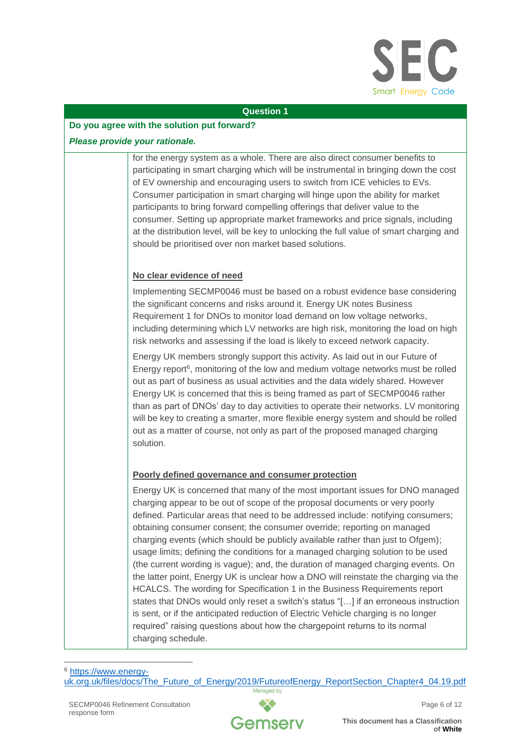

#### **Do you agree with the solution put forward?**

#### *Please provide your rationale.*

for the energy system as a whole. There are also direct consumer benefits to participating in smart charging which will be instrumental in bringing down the cost of EV ownership and encouraging users to switch from ICE vehicles to EVs. Consumer participation in smart charging will hinge upon the ability for market participants to bring forward compelling offerings that deliver value to the consumer. Setting up appropriate market frameworks and price signals, including at the distribution level, will be key to unlocking the full value of smart charging and should be prioritised over non market based solutions.

# **No clear evidence of need**

Implementing SECMP0046 must be based on a robust evidence base considering the significant concerns and risks around it. Energy UK notes Business Requirement 1 for DNOs to monitor load demand on low voltage networks, including determining which LV networks are high risk, monitoring the load on high risk networks and assessing if the load is likely to exceed network capacity.

Energy UK members strongly support this activity. As laid out in our Future of Energy report<sup>6</sup>, monitoring of the low and medium voltage networks must be rolled out as part of business as usual activities and the data widely shared. However Energy UK is concerned that this is being framed as part of SECMP0046 rather than as part of DNOs' day to day activities to operate their networks. LV monitoring will be key to creating a smarter, more flexible energy system and should be rolled out as a matter of course, not only as part of the proposed managed charging solution.

# **Poorly defined governance and consumer protection**

Energy UK is concerned that many of the most important issues for DNO managed charging appear to be out of scope of the proposal documents or very poorly defined. Particular areas that need to be addressed include: notifying consumers; obtaining consumer consent; the consumer override; reporting on managed charging events (which should be publicly available rather than just to Ofgem); usage limits; defining the conditions for a managed charging solution to be used (the current wording is vague); and, the duration of managed charging events. On the latter point, Energy UK is unclear how a DNO will reinstate the charging via the HCALCS. The wording for Specification 1 in the Business Requirements report states that DNOs would only reset a switch's status "[…] if an erroneous instruction is sent, or if the anticipated reduction of Electric Vehicle charging is no longer required" raising questions about how the chargepoint returns to its normal charging schedule.



 $\overline{a}$ <sup>6</sup> [https://www.energy](https://www.energy-uk.org.uk/files/docs/The_Future_of_Energy/2019/FutureofEnergy_ReportSection_Chapter4_04.19.pdf)[uk.org.uk/files/docs/The\\_Future\\_of\\_Energy/2019/FutureofEnergy\\_ReportSection\\_Chapter4\\_04.19.pdf](https://www.energy-uk.org.uk/files/docs/The_Future_of_Energy/2019/FutureofEnergy_ReportSection_Chapter4_04.19.pdf)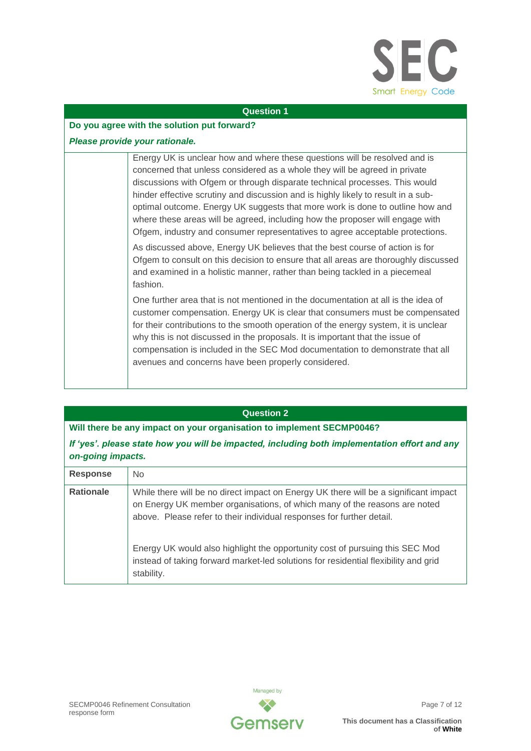

#### **Do you agree with the solution put forward?**

### *Please provide your rationale.*

Energy UK is unclear how and where these questions will be resolved and is concerned that unless considered as a whole they will be agreed in private discussions with Ofgem or through disparate technical processes. This would hinder effective scrutiny and discussion and is highly likely to result in a suboptimal outcome. Energy UK suggests that more work is done to outline how and where these areas will be agreed, including how the proposer will engage with Ofgem, industry and consumer representatives to agree acceptable protections.

As discussed above, Energy UK believes that the best course of action is for Ofgem to consult on this decision to ensure that all areas are thoroughly discussed and examined in a holistic manner, rather than being tackled in a piecemeal fashion.

One further area that is not mentioned in the documentation at all is the idea of customer compensation. Energy UK is clear that consumers must be compensated for their contributions to the smooth operation of the energy system, it is unclear why this is not discussed in the proposals. It is important that the issue of compensation is included in the SEC Mod documentation to demonstrate that all avenues and concerns have been properly considered.

#### **Question 2**

**Will there be any impact on your organisation to implement SECMP0046?**

*If 'yes'. please state how you will be impacted, including both implementation effort and any on-going impacts.*

| <b>Response</b>  | N <sub>o</sub>                                                                                                                                                                                                                             |
|------------------|--------------------------------------------------------------------------------------------------------------------------------------------------------------------------------------------------------------------------------------------|
| <b>Rationale</b> | While there will be no direct impact on Energy UK there will be a significant impact<br>on Energy UK member organisations, of which many of the reasons are noted<br>above. Please refer to their individual responses for further detail. |
|                  | Energy UK would also highlight the opportunity cost of pursuing this SEC Mod<br>instead of taking forward market-led solutions for residential flexibility and grid<br>stability.                                                          |

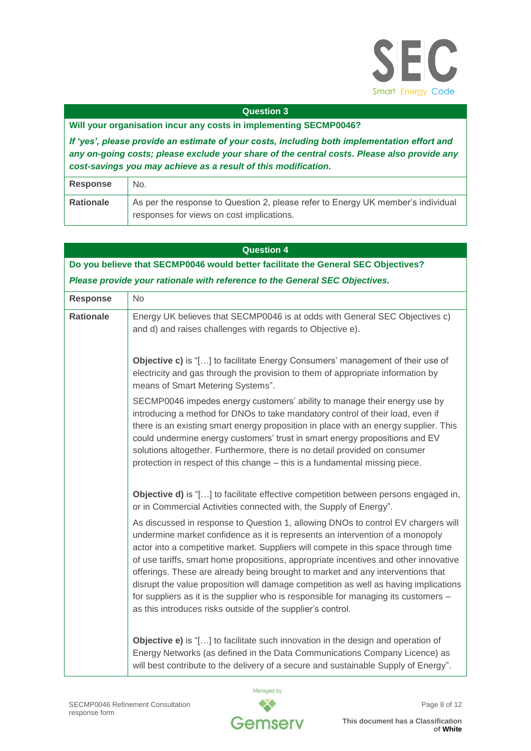

# **Will your organisation incur any costs in implementing SECMP0046?**

*If 'yes', please provide an estimate of your costs, including both implementation effort and any on-going costs; please exclude your share of the central costs. Please also provide any cost-savings you may achieve as a result of this modification.*

| Response  | No.                                                                              |
|-----------|----------------------------------------------------------------------------------|
| Rationale | As per the response to Question 2, please refer to Energy UK member's individual |
|           | responses for views on cost implications.                                        |

|                                                                                   | <b>Question 4</b>                                                                                                                                                                                                                                                                                                                                                                                                                                                                                                                                                                                                                                                                 |  |
|-----------------------------------------------------------------------------------|-----------------------------------------------------------------------------------------------------------------------------------------------------------------------------------------------------------------------------------------------------------------------------------------------------------------------------------------------------------------------------------------------------------------------------------------------------------------------------------------------------------------------------------------------------------------------------------------------------------------------------------------------------------------------------------|--|
| Do you believe that SECMP0046 would better facilitate the General SEC Objectives? |                                                                                                                                                                                                                                                                                                                                                                                                                                                                                                                                                                                                                                                                                   |  |
|                                                                                   | Please provide your rationale with reference to the General SEC Objectives.                                                                                                                                                                                                                                                                                                                                                                                                                                                                                                                                                                                                       |  |
| <b>Response</b>                                                                   | No                                                                                                                                                                                                                                                                                                                                                                                                                                                                                                                                                                                                                                                                                |  |
| <b>Rationale</b>                                                                  | Energy UK believes that SECMP0046 is at odds with General SEC Objectives c)<br>and d) and raises challenges with regards to Objective e).                                                                                                                                                                                                                                                                                                                                                                                                                                                                                                                                         |  |
|                                                                                   | Objective c) is "[] to facilitate Energy Consumers' management of their use of<br>electricity and gas through the provision to them of appropriate information by<br>means of Smart Metering Systems".                                                                                                                                                                                                                                                                                                                                                                                                                                                                            |  |
|                                                                                   | SECMP0046 impedes energy customers' ability to manage their energy use by<br>introducing a method for DNOs to take mandatory control of their load, even if<br>there is an existing smart energy proposition in place with an energy supplier. This<br>could undermine energy customers' trust in smart energy propositions and EV<br>solutions altogether. Furthermore, there is no detail provided on consumer<br>protection in respect of this change - this is a fundamental missing piece.                                                                                                                                                                                   |  |
|                                                                                   | <b>Objective d)</b> is "[] to facilitate effective competition between persons engaged in,<br>or in Commercial Activities connected with, the Supply of Energy".                                                                                                                                                                                                                                                                                                                                                                                                                                                                                                                  |  |
|                                                                                   | As discussed in response to Question 1, allowing DNOs to control EV chargers will<br>undermine market confidence as it is represents an intervention of a monopoly<br>actor into a competitive market. Suppliers will compete in this space through time<br>of use tariffs, smart home propositions, appropriate incentives and other innovative<br>offerings. These are already being brought to market and any interventions that<br>disrupt the value proposition will damage competition as well as having implications<br>for suppliers as it is the supplier who is responsible for managing its customers -<br>as this introduces risks outside of the supplier's control. |  |
|                                                                                   | <b>Objective e)</b> is "[] to facilitate such innovation in the design and operation of<br>Energy Networks (as defined in the Data Communications Company Licence) as<br>will best contribute to the delivery of a secure and sustainable Supply of Energy".                                                                                                                                                                                                                                                                                                                                                                                                                      |  |

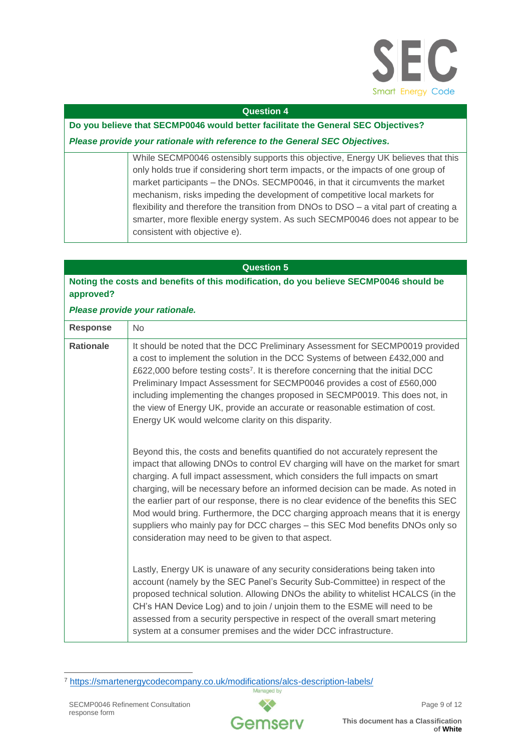

# **Do you believe that SECMP0046 would better facilitate the General SEC Objectives?**

# *Please provide your rationale with reference to the General SEC Objectives.*

While SECMP0046 ostensibly supports this objective, Energy UK believes that this only holds true if considering short term impacts, or the impacts of one group of market participants – the DNOs. SECMP0046, in that it circumvents the market mechanism, risks impeding the development of competitive local markets for flexibility and therefore the transition from DNOs to DSO – a vital part of creating a smarter, more flexible energy system. As such SECMP0046 does not appear to be consistent with objective e).

# **Question 5**

# **Noting the costs and benefits of this modification, do you believe SECMP0046 should be approved?**

# *Please provide your rationale.*

| <b>Response</b>  | No                                                                                                                                                                                                                                                                                                                                                                                                                                                                                                                                                                                                                                                           |
|------------------|--------------------------------------------------------------------------------------------------------------------------------------------------------------------------------------------------------------------------------------------------------------------------------------------------------------------------------------------------------------------------------------------------------------------------------------------------------------------------------------------------------------------------------------------------------------------------------------------------------------------------------------------------------------|
| <b>Rationale</b> | It should be noted that the DCC Preliminary Assessment for SECMP0019 provided<br>a cost to implement the solution in the DCC Systems of between £432,000 and<br>£622,000 before testing costs <sup>7</sup> . It is therefore concerning that the initial DCC<br>Preliminary Impact Assessment for SECMP0046 provides a cost of £560,000<br>including implementing the changes proposed in SECMP0019. This does not, in<br>the view of Energy UK, provide an accurate or reasonable estimation of cost.<br>Energy UK would welcome clarity on this disparity.                                                                                                 |
|                  | Beyond this, the costs and benefits quantified do not accurately represent the<br>impact that allowing DNOs to control EV charging will have on the market for smart<br>charging. A full impact assessment, which considers the full impacts on smart<br>charging, will be necessary before an informed decision can be made. As noted in<br>the earlier part of our response, there is no clear evidence of the benefits this SEC<br>Mod would bring. Furthermore, the DCC charging approach means that it is energy<br>suppliers who mainly pay for DCC charges - this SEC Mod benefits DNOs only so<br>consideration may need to be given to that aspect. |
|                  | Lastly, Energy UK is unaware of any security considerations being taken into<br>account (namely by the SEC Panel's Security Sub-Committee) in respect of the<br>proposed technical solution. Allowing DNOs the ability to whitelist HCALCS (in the<br>CH's HAN Device Log) and to join / unjoin them to the ESME will need to be<br>assessed from a security perspective in respect of the overall smart metering<br>system at a consumer premises and the wider DCC infrastructure.                                                                                                                                                                         |

-



<sup>7</sup> <https://smartenergycodecompany.co.uk/modifications/alcs-description-labels/>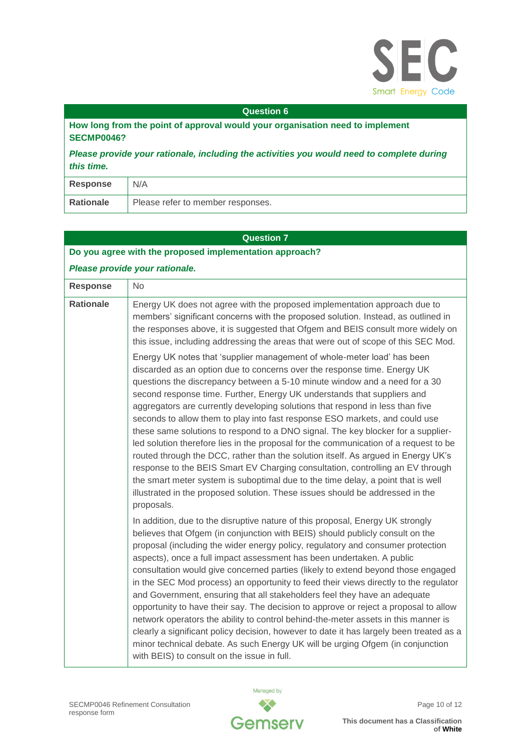

**How long from the point of approval would your organisation need to implement SECMP0046?**

*Please provide your rationale, including the activities you would need to complete during this time.*

| Response  | N/A                               |
|-----------|-----------------------------------|
| Rationale | Please refer to member responses. |

# **Question 7**

| Do you agree with the proposed implementation approach? |                                                                                                                                                                                                                                                                                                                                                                                                                                                                                                                                                                                                                                                                                                                                                                                                                                                                                                                                                                                                                    |
|---------------------------------------------------------|--------------------------------------------------------------------------------------------------------------------------------------------------------------------------------------------------------------------------------------------------------------------------------------------------------------------------------------------------------------------------------------------------------------------------------------------------------------------------------------------------------------------------------------------------------------------------------------------------------------------------------------------------------------------------------------------------------------------------------------------------------------------------------------------------------------------------------------------------------------------------------------------------------------------------------------------------------------------------------------------------------------------|
|                                                         | Please provide your rationale.                                                                                                                                                                                                                                                                                                                                                                                                                                                                                                                                                                                                                                                                                                                                                                                                                                                                                                                                                                                     |
| <b>Response</b>                                         | <b>No</b>                                                                                                                                                                                                                                                                                                                                                                                                                                                                                                                                                                                                                                                                                                                                                                                                                                                                                                                                                                                                          |
| <b>Rationale</b>                                        | Energy UK does not agree with the proposed implementation approach due to<br>members' significant concerns with the proposed solution. Instead, as outlined in<br>the responses above, it is suggested that Ofgem and BEIS consult more widely on<br>this issue, including addressing the areas that were out of scope of this SEC Mod.                                                                                                                                                                                                                                                                                                                                                                                                                                                                                                                                                                                                                                                                            |
|                                                         | Energy UK notes that 'supplier management of whole-meter load' has been<br>discarded as an option due to concerns over the response time. Energy UK<br>questions the discrepancy between a 5-10 minute window and a need for a 30<br>second response time. Further, Energy UK understands that suppliers and<br>aggregators are currently developing solutions that respond in less than five<br>seconds to allow them to play into fast response ESO markets, and could use<br>these same solutions to respond to a DNO signal. The key blocker for a supplier-<br>led solution therefore lies in the proposal for the communication of a request to be<br>routed through the DCC, rather than the solution itself. As argued in Energy UK's<br>response to the BEIS Smart EV Charging consultation, controlling an EV through<br>the smart meter system is suboptimal due to the time delay, a point that is well<br>illustrated in the proposed solution. These issues should be addressed in the<br>proposals. |
|                                                         | In addition, due to the disruptive nature of this proposal, Energy UK strongly<br>believes that Ofgem (in conjunction with BEIS) should publicly consult on the<br>proposal (including the wider energy policy, regulatory and consumer protection<br>aspects), once a full impact assessment has been undertaken. A public<br>consultation would give concerned parties (likely to extend beyond those engaged<br>in the SEC Mod process) an opportunity to feed their views directly to the regulator<br>and Government, ensuring that all stakeholders feel they have an adequate<br>opportunity to have their say. The decision to approve or reject a proposal to allow<br>network operators the ability to control behind-the-meter assets in this manner is<br>clearly a significant policy decision, however to date it has largely been treated as a<br>minor technical debate. As such Energy UK will be urging Ofgem (in conjunction<br>with BEIS) to consult on the issue in full.                     |

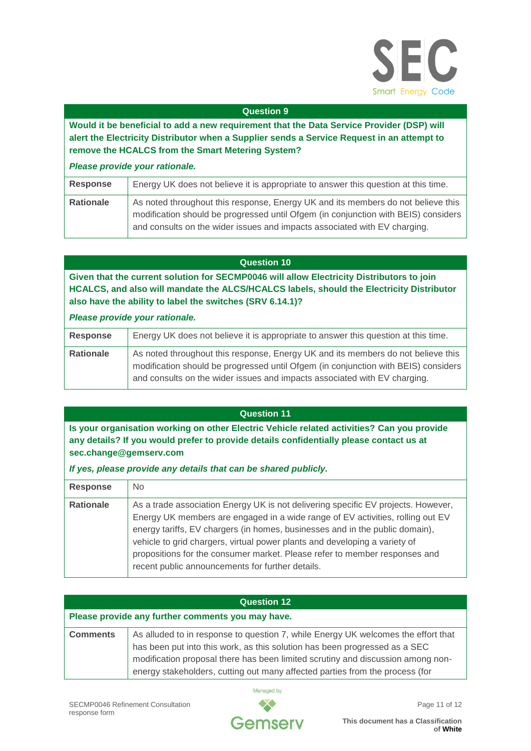

**Would it be beneficial to add a new requirement that the Data Service Provider (DSP) will alert the Electricity Distributor when a Supplier sends a Service Request in an attempt to remove the HCALCS from the Smart Metering System?**

# *Please provide your rationale.*

| <b>Response</b> | Energy UK does not believe it is appropriate to answer this question at this time.                                                                                     |
|-----------------|------------------------------------------------------------------------------------------------------------------------------------------------------------------------|
| Rationale       | As noted throughout this response, Energy UK and its members do not believe this<br>modification should be progressed until Ofgem (in conjunction with BEIS) considers |
|                 | and consults on the wider issues and impacts associated with EV charging.                                                                                              |

#### **Question 10**

**Given that the current solution for SECMP0046 will allow Electricity Distributors to join HCALCS, and also will mandate the ALCS/HCALCS labels, should the Electricity Distributor also have the ability to label the switches (SRV 6.14.1)?**

#### *Please provide your rationale.*

| Response         | Energy UK does not believe it is appropriate to answer this question at this time.                                                                                                                                                                  |
|------------------|-----------------------------------------------------------------------------------------------------------------------------------------------------------------------------------------------------------------------------------------------------|
| <b>Rationale</b> | As noted throughout this response, Energy UK and its members do not believe this<br>modification should be progressed until Ofgem (in conjunction with BEIS) considers<br>and consults on the wider issues and impacts associated with EV charging. |

#### **Question 11**

**Is your organisation working on other Electric Vehicle related activities? Can you provide any details? If you would prefer to provide details confidentially please contact us at sec.change@gemserv.com**

# *If yes, please provide any details that can be shared publicly.*

| <b>Response</b>  | No.                                                                                                                                                                                                                                                                                                                                                                                                                                                                 |
|------------------|---------------------------------------------------------------------------------------------------------------------------------------------------------------------------------------------------------------------------------------------------------------------------------------------------------------------------------------------------------------------------------------------------------------------------------------------------------------------|
| <b>Rationale</b> | As a trade association Energy UK is not delivering specific EV projects. However,<br>Energy UK members are engaged in a wide range of EV activities, rolling out EV<br>energy tariffs, EV chargers (in homes, businesses and in the public domain),<br>vehicle to grid chargers, virtual power plants and developing a variety of<br>propositions for the consumer market. Please refer to member responses and<br>recent public announcements for further details. |

| <b>Question 12</b>                                |                                                                                                                                                                                                                                                                                                                                    |
|---------------------------------------------------|------------------------------------------------------------------------------------------------------------------------------------------------------------------------------------------------------------------------------------------------------------------------------------------------------------------------------------|
| Please provide any further comments you may have. |                                                                                                                                                                                                                                                                                                                                    |
| <b>Comments</b>                                   | As alluded to in response to question 7, while Energy UK welcomes the effort that<br>has been put into this work, as this solution has been progressed as a SEC<br>modification proposal there has been limited scrutiny and discussion among non-<br>energy stakeholders, cutting out many affected parties from the process (for |